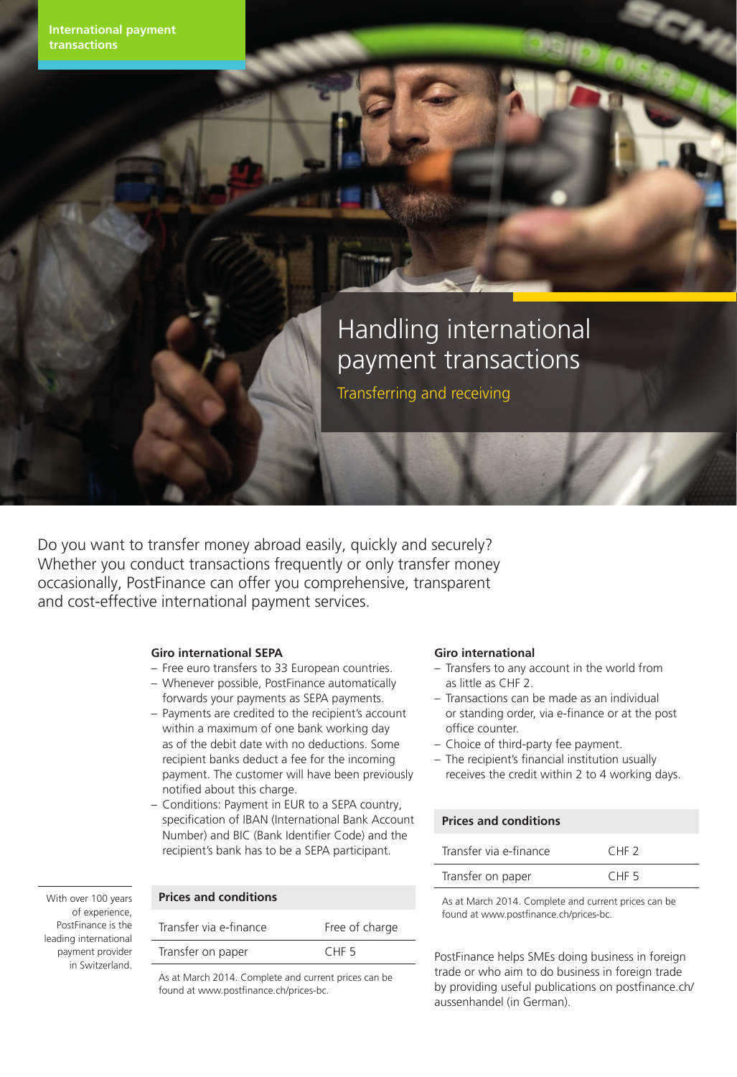# Handling international payment transactions

Transferring and receiving

Do you want to transfer money abroad easily, quickly and securely? Whether you conduct transactions frequently or only transfer money occasionally, PostFinance can offer you comprehensive, transparent and cost-effective international payment services.

## **Giro international SEPA**

- Free euro transfers to 33 European countries.
- Whenever possible, PostFinance automatically forwards your payments as SEPA payments.
- Payments are credited to the recipient's account within a maximum of one bank working day as of the debit date with no deductions. Some recipient banks deduct a fee for the incoming payment. The customer will have been previously notified about this charge.
- Conditions: Payment in EUR to a SEPA country, specification of IBAN (International Bank Account Number) and BIC (Bank Identifier Code) and the recipient's bank has to be a SEPA participant.

#### With over 100 years of experience, PostFinance is the leading international payment provider in Switzerland.

| <b>Prices and conditions</b> |                  |
|------------------------------|------------------|
| Transfer via e-finance       | Free of charge   |
| Transfer on paper            | CHF <sub>5</sub> |
|                              |                  |

As at March 2014. Complete and current prices can be found at www.postfinance.ch/prices-bc.

#### **Giro international**

- Transfers to any account in the world from as little as CHF 2.
- Transactions can be made as an individual or standing order, via e-finance or at the post office counter.
- Choice of third-party fee payment.
- The recipient's financial institution usually receives the credit within 2 to 4 working days.

# **Prices and conditions**

| Transfer via e-finance | CHF <sub>2</sub> |
|------------------------|------------------|
| Transfer on paper      | CHF <sub>5</sub> |

As at March 2014. Complete and current prices can be found at www.postfinance.ch/prices-bc.

PostFinance helps SMEs doing business in foreign trade or who aim to do business in foreign trade by providing useful publications on postfinance.ch/ aussenhandel (in German).